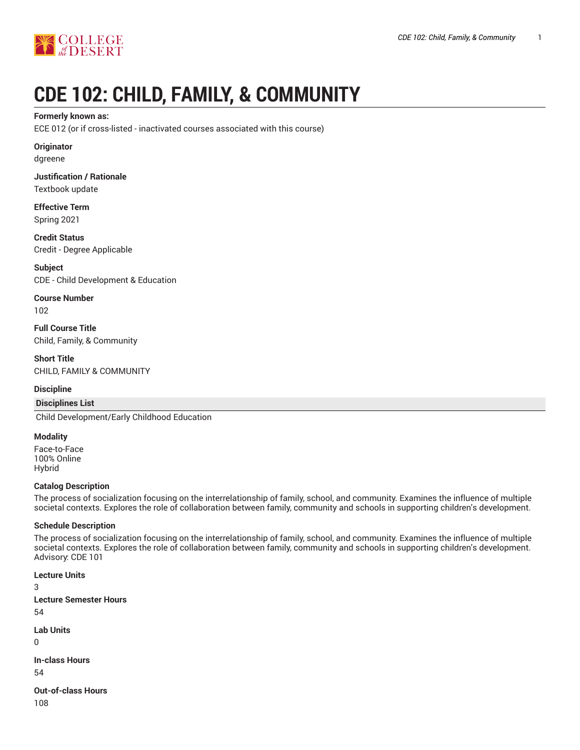

# **CDE 102: CHILD, FAMILY, & COMMUNITY**

#### **Formerly known as:**

ECE 012 (or if cross-listed - inactivated courses associated with this course)

### **Originator**

dgreene

**Justification / Rationale** Textbook update

**Effective Term** Spring 2021

**Credit Status** Credit - Degree Applicable

**Subject** CDE - Child Development & Education

**Course Number** 102

**Full Course Title** Child, Family, & Community

**Short Title** CHILD, FAMILY & COMMUNITY

#### **Discipline**

## **Disciplines List**

Child Development/Early Childhood Education

#### **Modality**

Face-to-Face 100% Online Hybrid

#### **Catalog Description**

The process of socialization focusing on the interrelationship of family, school, and community. Examines the influence of multiple societal contexts. Explores the role of collaboration between family, community and schools in supporting children's development.

#### **Schedule Description**

The process of socialization focusing on the interrelationship of family, school, and community. Examines the influence of multiple societal contexts. Explores the role of collaboration between family, community and schools in supporting children's development. Advisory: CDE 101

**Lecture Units** 3 **Lecture Semester Hours** 54 **Lab Units**

0

**In-class Hours** 54

**Out-of-class Hours** 108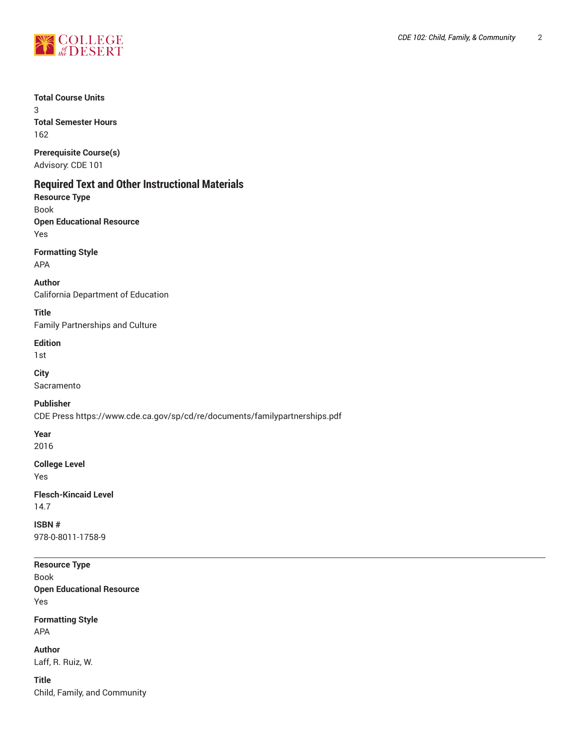

## **Total Course Units**

3 **Total Semester Hours** 162

**Prerequisite Course(s)**

Advisory: CDE 101

## **Required Text and Other Instructional Materials**

**Resource Type**

Book **Open Educational Resource** Yes

**Formatting Style**

APA

**Author** California Department of Education

**Title** Family Partnerships and Culture

**Edition**

1st

**City** Sacramento

**Publisher**

CDE Press https://www.cde.ca.gov/sp/cd/re/documents/familypartnerships.pdf

**Year**

2016

**College Level**

Yes

**Flesch-Kincaid Level** 14.7

**ISBN #** 978-0-8011-1758-9

**Resource Type** Book **Open Educational Resource** Yes

**Formatting Style** APA

**Author** Laff, R. Ruiz, W.

**Title** Child, Family, and Community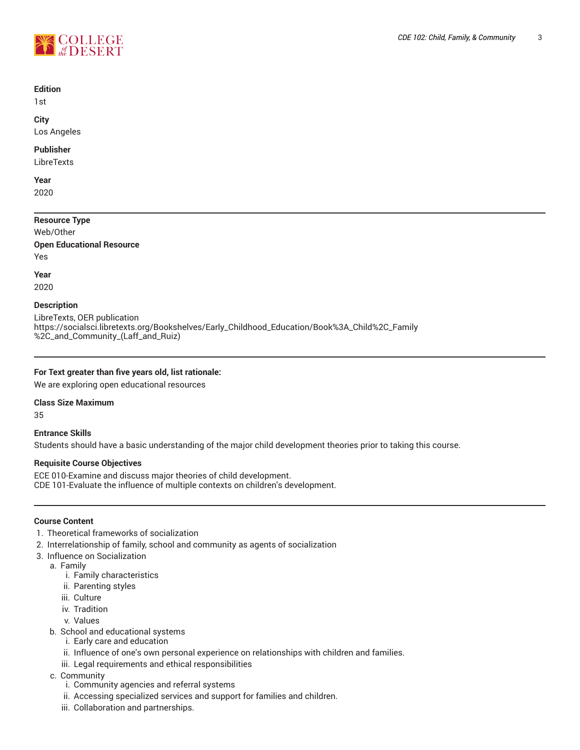

#### **Edition**

1st

**City** Los Angeles

#### **Publisher**

LibreTexts

**Year** 2020

**Resource Type** Web/Other **Open Educational Resource** Yes

**Year**

2020

#### **Description**

LibreTexts, OER publication https://socialsci.libretexts.org/Bookshelves/Early\_Childhood\_Education/Book%3A\_Child%2C\_Family %2C\_and\_Community\_(Laff\_and\_Ruiz)

#### **For Text greater than five years old, list rationale:**

We are exploring open educational resources

#### **Class Size Maximum**

35

**Entrance Skills** Students should have a basic understanding of the major child development theories prior to taking this course.

#### **Requisite Course Objectives**

ECE 010-Examine and discuss major theories of child development. CDE 101-Evaluate the influence of multiple contexts on children's development.

#### **Course Content**

- 1. Theoretical frameworks of socialization
- 2. Interrelationship of family, school and community as agents of socialization
- 3. Influence on Socialization
	- a. Family
		- i. Family characteristics
		- ii. Parenting styles
		- iii. Culture
		- iv. Tradition
		- v. Values
	- b. School and educational systems
		- i. Early care and education
		- ii. Influence of one's own personal experience on relationships with children and families.
		- iii. Legal requirements and ethical responsibilities
	- c. Community
		- i. Community agencies and referral systems
		- ii. Accessing specialized services and support for families and children.
		- iii. Collaboration and partnerships.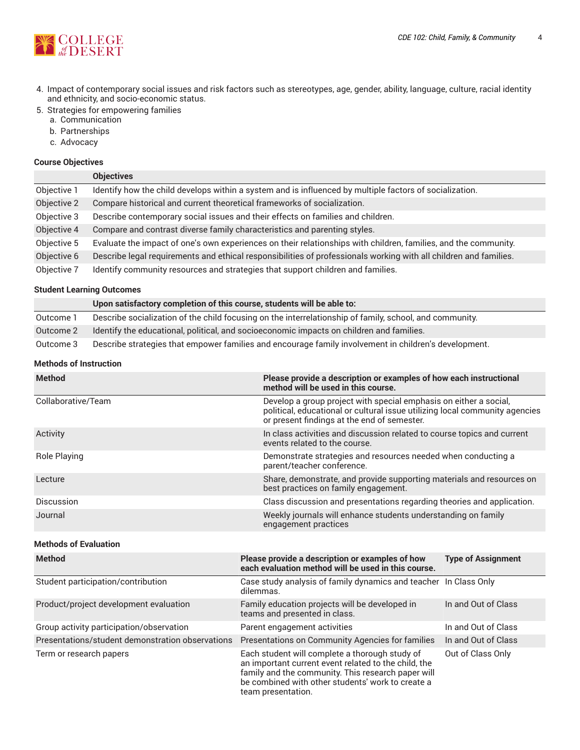

- 4. Impact of contemporary social issues and risk factors such as stereotypes, age, gender, ability, language, culture, racial identity and ethnicity, and socio-economic status.
- 5. Strategies for empowering families
	- a. Communication
	- b. Partnerships
	- c. Advocacy

#### **Course Objectives**

|             | <b>Objectives</b>                                                                                                 |
|-------------|-------------------------------------------------------------------------------------------------------------------|
| Objective 1 | Identify how the child develops within a system and is influenced by multiple factors of socialization.           |
| Objective 2 | Compare historical and current theoretical frameworks of socialization.                                           |
| Objective 3 | Describe contemporary social issues and their effects on families and children.                                   |
| Objective 4 | Compare and contrast diverse family characteristics and parenting styles.                                         |
| Objective 5 | Evaluate the impact of one's own experiences on their relationships with children, families, and the community.   |
| Objective 6 | Describe legal requirements and ethical responsibilities of professionals working with all children and families. |
| Objective 7 | Identify community resources and strategies that support children and families.                                   |

#### **Student Learning Outcomes**

|           | Upon satisfactory completion of this course, students will be able to:                                  |
|-----------|---------------------------------------------------------------------------------------------------------|
| Outcome 1 | Describe socialization of the child focusing on the interrelationship of family, school, and community. |
| Outcome 2 | Identify the educational, political, and socioeconomic impacts on children and families.                |
| Outcome 3 | Describe strategies that empower families and encourage family involvement in children's development.   |

## **Methods of Instruction**

| <b>Method</b>      | Please provide a description or examples of how each instructional<br>method will be used in this course.                                                                                       |
|--------------------|-------------------------------------------------------------------------------------------------------------------------------------------------------------------------------------------------|
| Collaborative/Team | Develop a group project with special emphasis on either a social,<br>political, educational or cultural issue utilizing local community agencies<br>or present findings at the end of semester. |
| Activity           | In class activities and discussion related to course topics and current<br>events related to the course.                                                                                        |
| Role Playing       | Demonstrate strategies and resources needed when conducting a<br>parent/teacher conference.                                                                                                     |
| Lecture            | Share, demonstrate, and provide supporting materials and resources on<br>best practices on family engagement.                                                                                   |
| Discussion         | Class discussion and presentations regarding theories and application.                                                                                                                          |
| Journal            | Weekly journals will enhance students understanding on family<br>engagement practices                                                                                                           |

## **Methods of Evaluation**

| <b>Method</b>                                    | Please provide a description or examples of how<br>each evaluation method will be used in this course.                                                                                                                                  | <b>Type of Assignment</b> |
|--------------------------------------------------|-----------------------------------------------------------------------------------------------------------------------------------------------------------------------------------------------------------------------------------------|---------------------------|
| Student participation/contribution               | Case study analysis of family dynamics and teacher In Class Only<br>dilemmas.                                                                                                                                                           |                           |
| Product/project development evaluation           | Family education projects will be developed in<br>teams and presented in class.                                                                                                                                                         | In and Out of Class       |
| Group activity participation/observation         | Parent engagement activities                                                                                                                                                                                                            | In and Out of Class       |
| Presentations/student demonstration observations | Presentations on Community Agencies for families                                                                                                                                                                                        | In and Out of Class       |
| Term or research papers                          | Each student will complete a thorough study of<br>an important current event related to the child, the<br>family and the community. This research paper will<br>be combined with other students' work to create a<br>team presentation. | Out of Class Only         |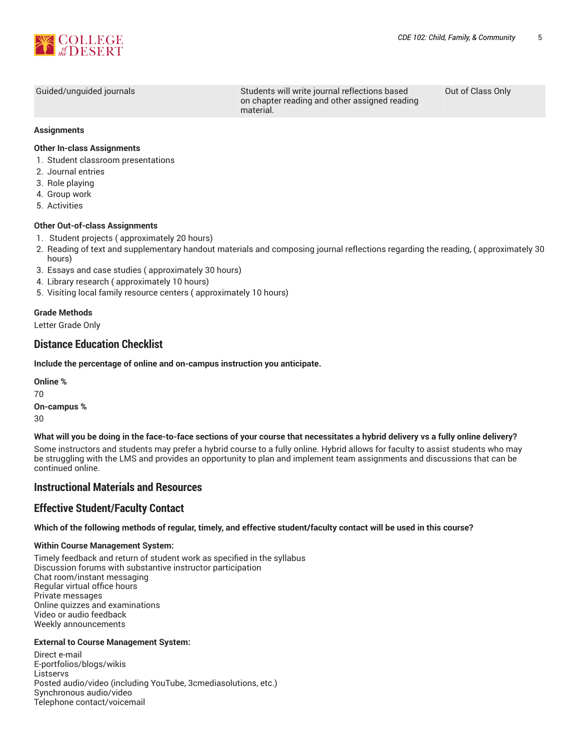

Guided/unguided journals Students will write journal reflections based on chapter reading and other assigned reading material.

Out of Class Only

#### **Assignments**

#### **Other In-class Assignments**

- 1. Student classroom presentations
- 2. Journal entries
- 3. Role playing
- 4. Group work
- 5. Activities

#### **Other Out-of-class Assignments**

- 1. Student projects ( approximately 20 hours)
- 2. Reading of text and supplementary handout materials and composing journal reflections regarding the reading, ( approximately 30 hours)
- 3. Essays and case studies ( approximately 30 hours)
- 4. Library research ( approximately 10 hours)
- 5. Visiting local family resource centers ( approximately 10 hours)

## **Grade Methods**

Letter Grade Only

## **Distance Education Checklist**

**Include the percentage of online and on-campus instruction you anticipate.**

**Online %** 70 **On-campus %** 30

#### What will you be doing in the face-to-face sections of your course that necessitates a hybrid delivery vs a fully online delivery?

Some instructors and students may prefer a hybrid course to a fully online. Hybrid allows for faculty to assist students who may be struggling with the LMS and provides an opportunity to plan and implement team assignments and discussions that can be continued online.

## **Instructional Materials and Resources**

## **Effective Student/Faculty Contact**

#### Which of the following methods of regular, timely, and effective student/faculty contact will be used in this course?

#### **Within Course Management System:**

Timely feedback and return of student work as specified in the syllabus Discussion forums with substantive instructor participation Chat room/instant messaging Regular virtual office hours Private messages Online quizzes and examinations Video or audio feedback Weekly announcements

#### **External to Course Management System:**

Direct e-mail E-portfolios/blogs/wikis **Listservs** Posted audio/video (including YouTube, 3cmediasolutions, etc.) Synchronous audio/video Telephone contact/voicemail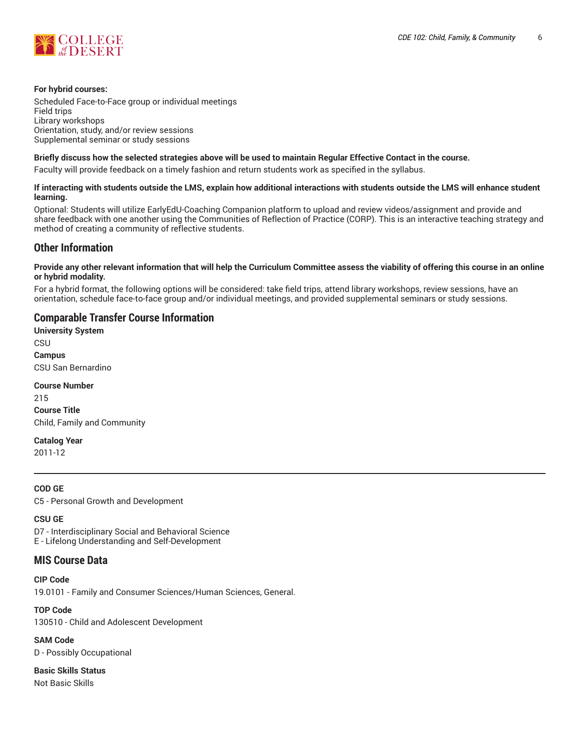

#### **For hybrid courses:**

Scheduled Face-to-Face group or individual meetings Field trips Library workshops Orientation, study, and/or review sessions Supplemental seminar or study sessions

#### Briefly discuss how the selected strategies above will be used to maintain Regular Effective Contact in the course.

Faculty will provide feedback on a timely fashion and return students work as specified in the syllabus.

#### **If interacting with students outside the LMS, explain how additional interactions with students outside the LMS will enhance student learning.**

Optional: Students will utilize EarlyEdU-Coaching Companion platform to upload and review videos/assignment and provide and share feedback with one another using the Communities of Reflection of Practice (CORP). This is an interactive teaching strategy and method of creating a community of reflective students.

## **Other Information**

#### Provide any other relevant information that will help the Curriculum Committee assess the viability of offering this course in an online **or hybrid modality.**

For a hybrid format, the following options will be considered: take field trips, attend library workshops, review sessions, have an orientation, schedule face-to-face group and/or individual meetings, and provided supplemental seminars or study sessions.

## **Comparable Transfer Course Information**

**University System** CSU **Campus** CSU San Bernardino

**Course Number** 215

**Course Title** Child, Family and Community

**Catalog Year**

2011-12

#### **COD GE**

C5 - Personal Growth and Development

#### **CSU GE**

D7 - Interdisciplinary Social and Behavioral Science E - Lifelong Understanding and Self-Development

## **MIS Course Data**

**CIP Code**

19.0101 - Family and Consumer Sciences/Human Sciences, General.

**TOP Code** 130510 - Child and Adolescent Development

**SAM Code** D - Possibly Occupational

**Basic Skills Status** Not Basic Skills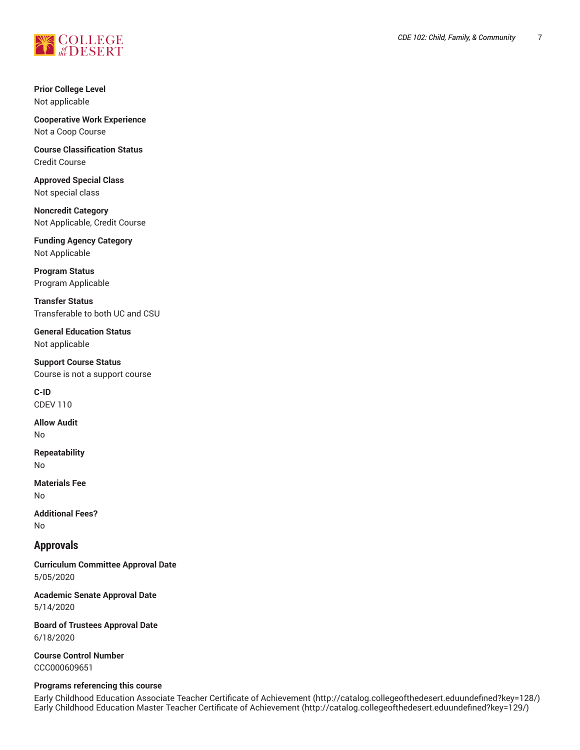

**Prior College Level** Not applicable

**Cooperative Work Experience** Not a Coop Course

**Course Classification Status** Credit Course

**Approved Special Class** Not special class

**Noncredit Category** Not Applicable, Credit Course

**Funding Agency Category** Not Applicable

**Program Status** Program Applicable

**Transfer Status** Transferable to both UC and CSU

**General Education Status** Not applicable

**Support Course Status** Course is not a support course

**C-ID** CDEV 110

**Allow Audit** No

**Repeatability** No

**Materials Fee** No

**Additional Fees?** No

## **Approvals**

**Curriculum Committee Approval Date** 5/05/2020

**Academic Senate Approval Date** 5/14/2020

**Board of Trustees Approval Date** 6/18/2020

**Course Control Number** CCC000609651

#### **Programs referencing this course**

Early Childhood Education Associate Teacher Certificate of [Achievement](http://catalog.collegeofthedesert.eduundefined?key=128/) [\(http://catalog.collegeofthedesert.eduundefined?key=128/](http://catalog.collegeofthedesert.eduundefined?key=128/)) Early Childhood Education Master Teacher Certificate of [Achievement](http://catalog.collegeofthedesert.eduundefined?key=129/) ([http://catalog.collegeofthedesert.eduundefined?key=129/\)](http://catalog.collegeofthedesert.eduundefined?key=129/)